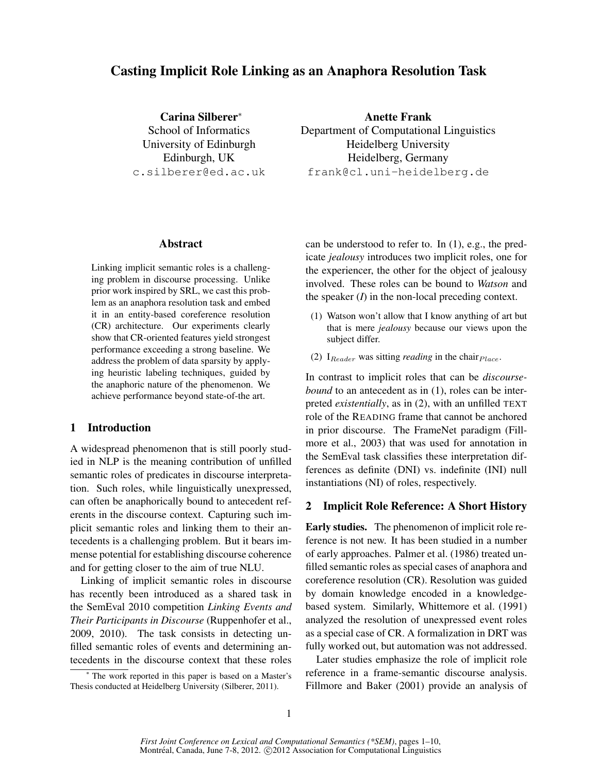# Casting Implicit Role Linking as an Anaphora Resolution Task

Carina Silberer<sup>∗</sup> School of Informatics University of Edinburgh Edinburgh, UK c.silberer@ed.ac.uk

Anette Frank Department of Computational Linguistics Heidelberg University Heidelberg, Germany frank@cl.uni-heidelberg.de

#### Abstract

Linking implicit semantic roles is a challenging problem in discourse processing. Unlike prior work inspired by SRL, we cast this problem as an anaphora resolution task and embed it in an entity-based coreference resolution (CR) architecture. Our experiments clearly show that CR-oriented features yield strongest performance exceeding a strong baseline. We address the problem of data sparsity by applying heuristic labeling techniques, guided by the anaphoric nature of the phenomenon. We achieve performance beyond state-of-the art.

## 1 Introduction

A widespread phenomenon that is still poorly studied in NLP is the meaning contribution of unfilled semantic roles of predicates in discourse interpretation. Such roles, while linguistically unexpressed, can often be anaphorically bound to antecedent referents in the discourse context. Capturing such implicit semantic roles and linking them to their antecedents is a challenging problem. But it bears immense potential for establishing discourse coherence and for getting closer to the aim of true NLU.

Linking of implicit semantic roles in discourse has recently been introduced as a shared task in the SemEval 2010 competition *Linking Events and Their Participants in Discourse* (Ruppenhofer et al., 2009, 2010). The task consists in detecting unfilled semantic roles of events and determining antecedents in the discourse context that these roles

can be understood to refer to. In (1), e.g., the predicate *jealousy* introduces two implicit roles, one for the experiencer, the other for the object of jealousy involved. These roles can be bound to *Watson* and the speaker  $(I)$  in the non-local preceding context.

- (1) Watson won't allow that I know anything of art but that is mere *jealousy* because our views upon the subject differ.
- (2)  $I_{Reader}$  was sitting *reading* in the chair $_{Place}$ .

In contrast to implicit roles that can be *discoursebound* to an antecedent as in (1), roles can be interpreted *existentially*, as in (2), with an unfilled TEXT role of the READING frame that cannot be anchored in prior discourse. The FrameNet paradigm (Fillmore et al., 2003) that was used for annotation in the SemEval task classifies these interpretation differences as definite (DNI) vs. indefinite (INI) null instantiations (NI) of roles, respectively.

# 2 Implicit Role Reference: A Short History

Early studies. The phenomenon of implicit role reference is not new. It has been studied in a number of early approaches. Palmer et al. (1986) treated unfilled semantic roles as special cases of anaphora and coreference resolution (CR). Resolution was guided by domain knowledge encoded in a knowledgebased system. Similarly, Whittemore et al. (1991) analyzed the resolution of unexpressed event roles as a special case of CR. A formalization in DRT was fully worked out, but automation was not addressed.

Later studies emphasize the role of implicit role reference in a frame-semantic discourse analysis. Fillmore and Baker (2001) provide an analysis of

<sup>∗</sup> The work reported in this paper is based on a Master's Thesis conducted at Heidelberg University (Silberer, 2011).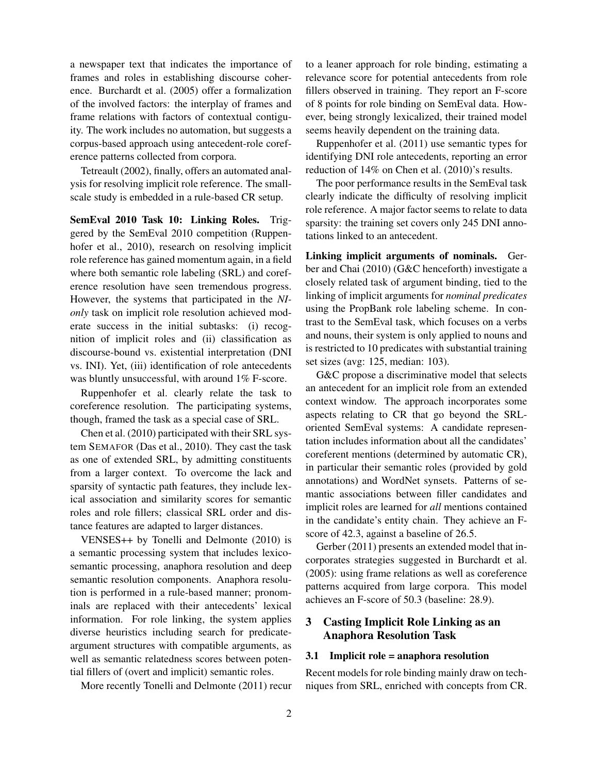a newspaper text that indicates the importance of frames and roles in establishing discourse coherence. Burchardt et al. (2005) offer a formalization of the involved factors: the interplay of frames and frame relations with factors of contextual contiguity. The work includes no automation, but suggests a corpus-based approach using antecedent-role coreference patterns collected from corpora.

Tetreault (2002), finally, offers an automated analysis for resolving implicit role reference. The smallscale study is embedded in a rule-based CR setup.

SemEval 2010 Task 10: Linking Roles. Triggered by the SemEval 2010 competition (Ruppenhofer et al., 2010), research on resolving implicit role reference has gained momentum again, in a field where both semantic role labeling (SRL) and coreference resolution have seen tremendous progress. However, the systems that participated in the *NIonly* task on implicit role resolution achieved moderate success in the initial subtasks: (i) recognition of implicit roles and (ii) classification as discourse-bound vs. existential interpretation (DNI vs. INI). Yet, (iii) identification of role antecedents was bluntly unsuccessful, with around 1% F-score.

Ruppenhofer et al. clearly relate the task to coreference resolution. The participating systems, though, framed the task as a special case of SRL.

Chen et al. (2010) participated with their SRL system SEMAFOR (Das et al., 2010). They cast the task as one of extended SRL, by admitting constituents from a larger context. To overcome the lack and sparsity of syntactic path features, they include lexical association and similarity scores for semantic roles and role fillers; classical SRL order and distance features are adapted to larger distances.

VENSES++ by Tonelli and Delmonte (2010) is a semantic processing system that includes lexicosemantic processing, anaphora resolution and deep semantic resolution components. Anaphora resolution is performed in a rule-based manner; pronominals are replaced with their antecedents' lexical information. For role linking, the system applies diverse heuristics including search for predicateargument structures with compatible arguments, as well as semantic relatedness scores between potential fillers of (overt and implicit) semantic roles.

More recently Tonelli and Delmonte (2011) recur

to a leaner approach for role binding, estimating a relevance score for potential antecedents from role fillers observed in training. They report an F-score of 8 points for role binding on SemEval data. However, being strongly lexicalized, their trained model seems heavily dependent on the training data.

Ruppenhofer et al. (2011) use semantic types for identifying DNI role antecedents, reporting an error reduction of 14% on Chen et al. (2010)'s results.

The poor performance results in the SemEval task clearly indicate the difficulty of resolving implicit role reference. A major factor seems to relate to data sparsity: the training set covers only 245 DNI annotations linked to an antecedent.

Linking implicit arguments of nominals. Gerber and Chai (2010) (G&C henceforth) investigate a closely related task of argument binding, tied to the linking of implicit arguments for *nominal predicates* using the PropBank role labeling scheme. In contrast to the SemEval task, which focuses on a verbs and nouns, their system is only applied to nouns and is restricted to 10 predicates with substantial training set sizes (avg: 125, median: 103).

G&C propose a discriminative model that selects an antecedent for an implicit role from an extended context window. The approach incorporates some aspects relating to CR that go beyond the SRLoriented SemEval systems: A candidate representation includes information about all the candidates' coreferent mentions (determined by automatic CR), in particular their semantic roles (provided by gold annotations) and WordNet synsets. Patterns of semantic associations between filler candidates and implicit roles are learned for *all* mentions contained in the candidate's entity chain. They achieve an Fscore of 42.3, against a baseline of 26.5.

Gerber (2011) presents an extended model that incorporates strategies suggested in Burchardt et al. (2005): using frame relations as well as coreference patterns acquired from large corpora. This model achieves an F-score of 50.3 (baseline: 28.9).

# 3 Casting Implicit Role Linking as an Anaphora Resolution Task

# 3.1 Implicit role = anaphora resolution

Recent models for role binding mainly draw on techniques from SRL, enriched with concepts from CR.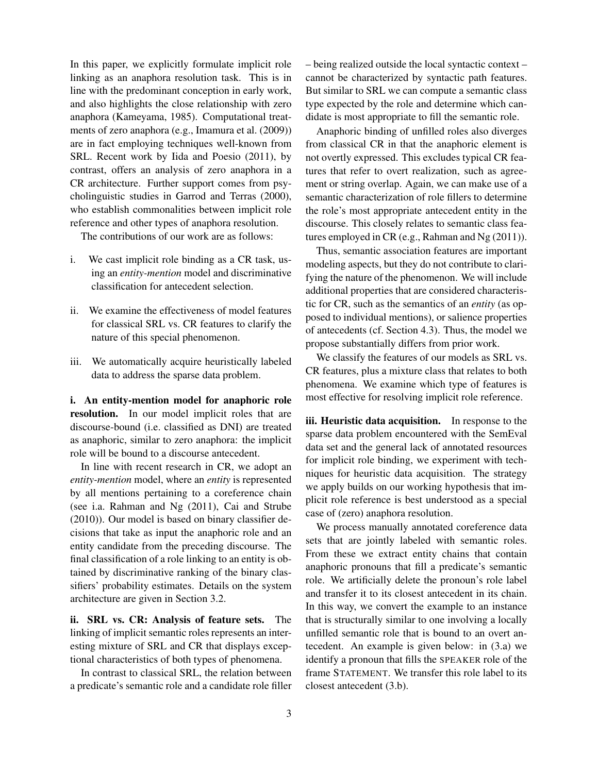In this paper, we explicitly formulate implicit role linking as an anaphora resolution task. This is in line with the predominant conception in early work, and also highlights the close relationship with zero anaphora (Kameyama, 1985). Computational treatments of zero anaphora (e.g., Imamura et al. (2009)) are in fact employing techniques well-known from SRL. Recent work by Iida and Poesio (2011), by contrast, offers an analysis of zero anaphora in a CR architecture. Further support comes from psycholinguistic studies in Garrod and Terras (2000), who establish commonalities between implicit role reference and other types of anaphora resolution.

The contributions of our work are as follows:

- i. We cast implicit role binding as a CR task, using an *entity-mention* model and discriminative classification for antecedent selection.
- ii. We examine the effectiveness of model features for classical SRL vs. CR features to clarify the nature of this special phenomenon.
- iii. We automatically acquire heuristically labeled data to address the sparse data problem.

i. An entity-mention model for anaphoric role resolution. In our model implicit roles that are discourse-bound (i.e. classified as DNI) are treated as anaphoric, similar to zero anaphora: the implicit role will be bound to a discourse antecedent.

In line with recent research in CR, we adopt an *entity-mention* model, where an *entity* is represented by all mentions pertaining to a coreference chain (see i.a. Rahman and Ng (2011), Cai and Strube (2010)). Our model is based on binary classifier decisions that take as input the anaphoric role and an entity candidate from the preceding discourse. The final classification of a role linking to an entity is obtained by discriminative ranking of the binary classifiers' probability estimates. Details on the system architecture are given in Section 3.2.

ii. SRL vs. CR: Analysis of feature sets. The linking of implicit semantic roles represents an interesting mixture of SRL and CR that displays exceptional characteristics of both types of phenomena.

In contrast to classical SRL, the relation between a predicate's semantic role and a candidate role filler – being realized outside the local syntactic context – cannot be characterized by syntactic path features. But similar to SRL we can compute a semantic class type expected by the role and determine which candidate is most appropriate to fill the semantic role.

Anaphoric binding of unfilled roles also diverges from classical CR in that the anaphoric element is not overtly expressed. This excludes typical CR features that refer to overt realization, such as agreement or string overlap. Again, we can make use of a semantic characterization of role fillers to determine the role's most appropriate antecedent entity in the discourse. This closely relates to semantic class features employed in CR (e.g., Rahman and Ng (2011)).

Thus, semantic association features are important modeling aspects, but they do not contribute to clarifying the nature of the phenomenon. We will include additional properties that are considered characteristic for CR, such as the semantics of an *entity* (as opposed to individual mentions), or salience properties of antecedents (cf. Section 4.3). Thus, the model we propose substantially differs from prior work.

We classify the features of our models as SRL vs. CR features, plus a mixture class that relates to both phenomena. We examine which type of features is most effective for resolving implicit role reference.

iii. Heuristic data acquisition. In response to the sparse data problem encountered with the SemEval data set and the general lack of annotated resources for implicit role binding, we experiment with techniques for heuristic data acquisition. The strategy we apply builds on our working hypothesis that implicit role reference is best understood as a special case of (zero) anaphora resolution.

We process manually annotated coreference data sets that are jointly labeled with semantic roles. From these we extract entity chains that contain anaphoric pronouns that fill a predicate's semantic role. We artificially delete the pronoun's role label and transfer it to its closest antecedent in its chain. In this way, we convert the example to an instance that is structurally similar to one involving a locally unfilled semantic role that is bound to an overt antecedent. An example is given below: in (3.a) we identify a pronoun that fills the SPEAKER role of the frame STATEMENT. We transfer this role label to its closest antecedent (3.b).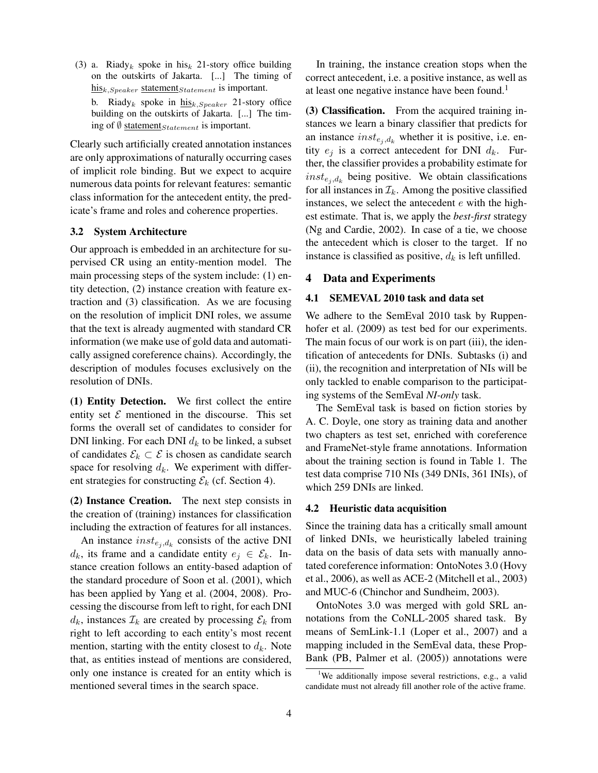(3) a. Riady<sub>k</sub> spoke in his<sub>k</sub> 21-story office building on the outskirts of Jakarta. [...] The timing of  $h$ isk, Speaker statement Statement is important. b. Riady<sub>k</sub> spoke in  $h$ <sub>isk</sub>,  $S_{\text{peaker}}$  21-story office building on the outskirts of Jakarta. [...] The timing of  $\emptyset$  statement *Statement* is important.

Clearly such artificially created annotation instances are only approximations of naturally occurring cases of implicit role binding. But we expect to acquire numerous data points for relevant features: semantic class information for the antecedent entity, the predicate's frame and roles and coherence properties.

#### 3.2 System Architecture

Our approach is embedded in an architecture for supervised CR using an entity-mention model. The main processing steps of the system include: (1) entity detection, (2) instance creation with feature extraction and (3) classification. As we are focusing on the resolution of implicit DNI roles, we assume that the text is already augmented with standard CR information (we make use of gold data and automatically assigned coreference chains). Accordingly, the description of modules focuses exclusively on the resolution of DNIs.

(1) Entity Detection. We first collect the entire entity set  $\mathcal E$  mentioned in the discourse. This set forms the overall set of candidates to consider for DNI linking. For each DNI  $d_k$  to be linked, a subset of candidates  $\mathcal{E}_k \subset \mathcal{E}$  is chosen as candidate search space for resolving  $d_k$ . We experiment with different strategies for constructing  $\mathcal{E}_k$  (cf. Section 4).

(2) Instance Creation. The next step consists in the creation of (training) instances for classification including the extraction of features for all instances.

An instance  $inst_{e_j,d_k}$  consists of the active DNI  $d_k$ , its frame and a candidate entity  $e_j \in \mathcal{E}_k$ . Instance creation follows an entity-based adaption of the standard procedure of Soon et al. (2001), which has been applied by Yang et al. (2004, 2008). Processing the discourse from left to right, for each DNI  $d_k$ , instances  $\mathcal{I}_k$  are created by processing  $\mathcal{E}_k$  from right to left according to each entity's most recent mention, starting with the entity closest to  $d_k$ . Note that, as entities instead of mentions are considered, only one instance is created for an entity which is mentioned several times in the search space.

In training, the instance creation stops when the correct antecedent, i.e. a positive instance, as well as at least one negative instance have been found.<sup>1</sup>

(3) Classification. From the acquired training instances we learn a binary classifier that predicts for an instance  $inst_{e_i, d_k}$  whether it is positive, i.e. entity  $e_i$  is a correct antecedent for DNI  $d_k$ . Further, the classifier provides a probability estimate for  $inst_{e_j, d_k}$  being positive. We obtain classifications for all instances in  $\mathcal{I}_k$ . Among the positive classified instances, we select the antecedent  $e$  with the highest estimate. That is, we apply the *best-first* strategy (Ng and Cardie, 2002). In case of a tie, we choose the antecedent which is closer to the target. If no instance is classified as positive,  $d_k$  is left unfilled.

#### 4 Data and Experiments

#### 4.1 SEMEVAL 2010 task and data set

We adhere to the SemEval 2010 task by Ruppenhofer et al.  $(2009)$  as test bed for our experiments. The main focus of our work is on part (iii), the identification of antecedents for DNIs. Subtasks (i) and (ii), the recognition and interpretation of NIs will be only tackled to enable comparison to the participating systems of the SemEval *NI-only* task.

The SemEval task is based on fiction stories by A. C. Doyle, one story as training data and another two chapters as test set, enriched with coreference and FrameNet-style frame annotations. Information about the training section is found in Table 1. The test data comprise 710 NIs (349 DNIs, 361 INIs), of which 259 DNIs are linked.

#### 4.2 Heuristic data acquisition

Since the training data has a critically small amount of linked DNIs, we heuristically labeled training data on the basis of data sets with manually annotated coreference information: OntoNotes 3.0 (Hovy et al., 2006), as well as ACE-2 (Mitchell et al., 2003) and MUC-6 (Chinchor and Sundheim, 2003).

OntoNotes 3.0 was merged with gold SRL annotations from the CoNLL-2005 shared task. By means of SemLink-1.1 (Loper et al., 2007) and a mapping included in the SemEval data, these Prop-Bank (PB, Palmer et al. (2005)) annotations were

<sup>&</sup>lt;sup>1</sup>We additionally impose several restrictions, e.g., a valid candidate must not already fill another role of the active frame.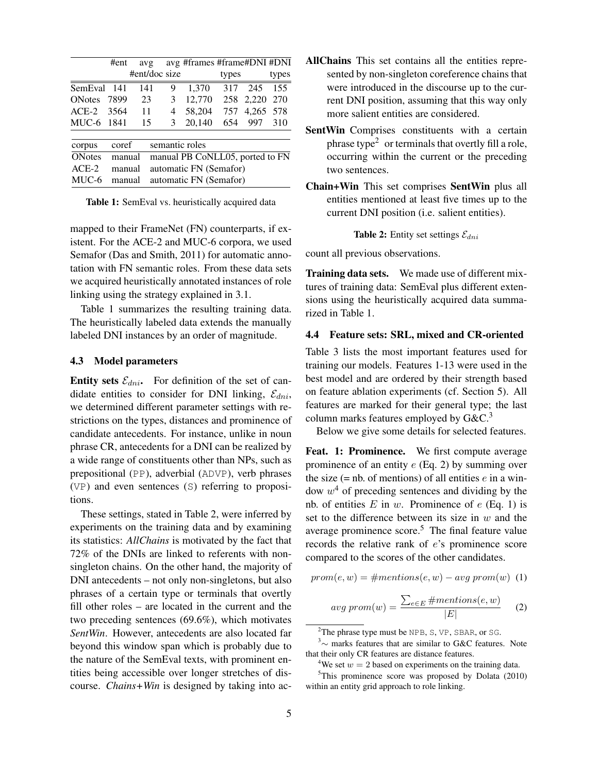|               | #ent   | avg           |   | avg #frames #frame#DNI #DNI     |       |       |       |
|---------------|--------|---------------|---|---------------------------------|-------|-------|-------|
|               |        | #ent/doc size |   |                                 | types |       | types |
| SemEval 141   |        | 141           | 9 | 1.370                           | 317   | 245   | 155   |
| <b>ONotes</b> | 7899   | 23            | 3 | 12,770                          | 258   | 2,220 | 270   |
| $ACE-2$       | 3564   | 11            | 4 | 58,204                          | 757   | 4,265 | 578   |
| MUC-6 1841    |        | 15            | 3 | 20,140                          | 654   | 997   | 310   |
| corpus        | coref  |               |   | semantic roles                  |       |       |       |
| <b>ONotes</b> | manual |               |   | manual PB CoNLL05, ported to FN |       |       |       |
| $ACE-2$       | manual |               |   | automatic FN (Semafor)          |       |       |       |
| MUC-6         | manual |               |   | automatic FN (Semafor)          |       |       |       |

Table 1: SemEval vs. heuristically acquired data

mapped to their FrameNet (FN) counterparts, if existent. For the ACE-2 and MUC-6 corpora, we used Semafor (Das and Smith, 2011) for automatic annotation with FN semantic roles. From these data sets we acquired heuristically annotated instances of role linking using the strategy explained in 3.1.

Table 1 summarizes the resulting training data. The heuristically labeled data extends the manually labeled DNI instances by an order of magnitude.

#### 4.3 Model parameters

Entity sets  $\mathcal{E}_{dni}$ . For definition of the set of candidate entities to consider for DNI linking,  $\mathcal{E}_{dni}$ , we determined different parameter settings with restrictions on the types, distances and prominence of candidate antecedents. For instance, unlike in noun phrase CR, antecedents for a DNI can be realized by a wide range of constituents other than NPs, such as prepositional (PP), adverbial (ADVP), verb phrases (VP) and even sentences (S) referring to propositions.

These settings, stated in Table 2, were inferred by experiments on the training data and by examining its statistics: *AllChains* is motivated by the fact that 72% of the DNIs are linked to referents with nonsingleton chains. On the other hand, the majority of DNI antecedents – not only non-singletons, but also phrases of a certain type or terminals that overtly fill other roles – are located in the current and the two preceding sentences (69.6%), which motivates *SentWin*. However, antecedents are also located far beyond this window span which is probably due to the nature of the SemEval texts, with prominent entities being accessible over longer stretches of discourse. *Chains+Win* is designed by taking into ac-

- AllChains This set contains all the entities represented by non-singleton coreference chains that were introduced in the discourse up to the current DNI position, assuming that this way only more salient entities are considered.
- SentWin Comprises constituents with a certain phrase type $2$  or terminals that overtly fill a role, occurring within the current or the preceding two sentences.
- Chain+Win This set comprises SentWin plus all entities mentioned at least five times up to the current DNI position (i.e. salient entities).

**Table 2:** Entity set settings  $\mathcal{E}_{dni}$ 

count all previous observations.

Training data sets. We made use of different mixtures of training data: SemEval plus different extensions using the heuristically acquired data summarized in Table 1.

#### 4.4 Feature sets: SRL, mixed and CR-oriented

Table 3 lists the most important features used for training our models. Features 1-13 were used in the best model and are ordered by their strength based on feature ablation experiments (cf. Section 5). All features are marked for their general type; the last column marks features employed by  $G\&C^3$ 

Below we give some details for selected features.

Feat. 1: Prominence. We first compute average prominence of an entity  $e$  (Eq. 2) by summing over the size (= nb. of mentions) of all entities  $e$  in a window  $w<sup>4</sup>$  of preceding sentences and dividing by the nb. of entities  $E$  in  $w$ . Prominence of  $e$  (Eq. 1) is set to the difference between its size in  $w$  and the average prominence score. $5$  The final feature value records the relative rank of e's prominence score compared to the scores of the other candidates.

$$
prom(e, w) = \# mentions(e, w) - avg\ prom(w) \hspace{2mm}(1)
$$

$$
avg\; prom(w) = \frac{\sum_{e \in E} \# mentions(e, w)}{|E|} \qquad (2)
$$

<sup>&</sup>lt;sup>2</sup>The phrase type must be NPB, S, VP, SBAR, or SG.

<sup>3</sup>∼ marks features that are similar to G&C features. Note that their only CR features are distance features.

<sup>&</sup>lt;sup>4</sup>We set  $w = 2$  based on experiments on the training data.

 $5$ This prominence score was proposed by Dolata (2010) within an entity grid approach to role linking.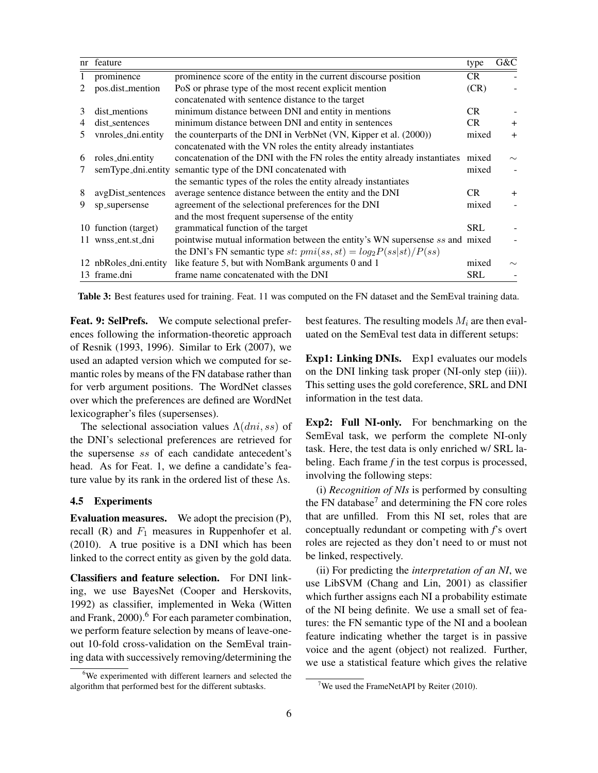| nr  | feature            |                                                                              | type       | G&C    |
|-----|--------------------|------------------------------------------------------------------------------|------------|--------|
|     | prominence         | prominence score of the entity in the current discourse position             | CR.        |        |
|     | pos.dist_mention   | PoS or phrase type of the most recent explicit mention                       | (CR)       |        |
|     |                    | concatenated with sentence distance to the target                            |            |        |
| 3   | dist_mentions      | minimum distance between DNI and entity in mentions                          | CR.        |        |
|     | dist_sentences     | minimum distance between DNI and entity in sentences                         | CR.        | $+$    |
| 5.  | vnroles_dni.entity | the counterparts of the DNI in VerbNet (VN, Kipper et al. (2000))            | mixed      | $+$    |
|     |                    | concatenated with the VN roles the entity already instantiates               |            |        |
| 6   | roles_dni.entity   | concatenation of the DNI with the FN roles the entity already instantiates   | mixed      | $\sim$ |
|     | semType_dni.entity | semantic type of the DNI concatenated with                                   | mixed      |        |
|     |                    | the semantic types of the roles the entity already instantiates              |            |        |
| 8   | avgDist_sentences  | average sentence distance between the entity and the DNI                     | CR.        | $+$    |
| 9   | sp_supersense      | agreement of the selectional preferences for the DNI                         | mixed      |        |
|     |                    | and the most frequent supersense of the entity                               |            |        |
| 10  | function (target)  | grammatical function of the target                                           | <b>SRL</b> |        |
| 11  | wnss_ent.st_dni    | pointwise mutual information between the entity's WN supersense ss and mixed |            |        |
|     |                    | the DNI's FN semantic type st: $pmi(ss,st) = log_2P(ss st)/P(ss)$            |            |        |
| 12. | nbRoles_dni.entity | like feature 5, but with NomBank arguments 0 and 1                           | mixed      | $\sim$ |
| 13. | frame.dni          | frame name concatenated with the DNI                                         | <b>SRL</b> |        |

Table 3: Best features used for training. Feat. 11 was computed on the FN dataset and the SemEval training data.

Feat. 9: SelPrefs. We compute selectional preferences following the information-theoretic approach of Resnik (1993, 1996). Similar to Erk (2007), we used an adapted version which we computed for semantic roles by means of the FN database rather than for verb argument positions. The WordNet classes over which the preferences are defined are WordNet lexicographer's files (supersenses).

The selectional association values  $\Lambda(dni, ss)$  of the DNI's selectional preferences are retrieved for the supersense ss of each candidate antecedent's head. As for Feat. 1, we define a candidate's feature value by its rank in the ordered list of these Λs.

## 4.5 Experiments

Evaluation measures. We adopt the precision (P), recall  $(R)$  and  $F_1$  measures in Ruppenhofer et al. (2010). A true positive is a DNI which has been linked to the correct entity as given by the gold data.

Classifiers and feature selection. For DNI linking, we use BayesNet (Cooper and Herskovits, 1992) as classifier, implemented in Weka (Witten and Frank, 2000).<sup>6</sup> For each parameter combination, we perform feature selection by means of leave-oneout 10-fold cross-validation on the SemEval training data with successively removing/determining the

<sup>6</sup>We experimented with different learners and selected the algorithm that performed best for the different subtasks.

best features. The resulting models  $M_i$  are then evaluated on the SemEval test data in different setups:

Exp1: Linking DNIs. Exp1 evaluates our models on the DNI linking task proper (NI-only step (iii)). This setting uses the gold coreference, SRL and DNI information in the test data.

Exp2: Full NI-only. For benchmarking on the SemEval task, we perform the complete NI-only task. Here, the test data is only enriched w/ SRL labeling. Each frame *f* in the test corpus is processed, involving the following steps:

(i) *Recognition of NIs* is performed by consulting the FN database<sup>7</sup> and determining the FN core roles that are unfilled. From this NI set, roles that are conceptually redundant or competing with *f*'s overt roles are rejected as they don't need to or must not be linked, respectively.

(ii) For predicting the *interpretation of an NI*, we use LibSVM (Chang and Lin, 2001) as classifier which further assigns each NI a probability estimate of the NI being definite. We use a small set of features: the FN semantic type of the NI and a boolean feature indicating whether the target is in passive voice and the agent (object) not realized. Further, we use a statistical feature which gives the relative

<sup>&</sup>lt;sup>7</sup>We used the FrameNetAPI by Reiter  $(2010)$ .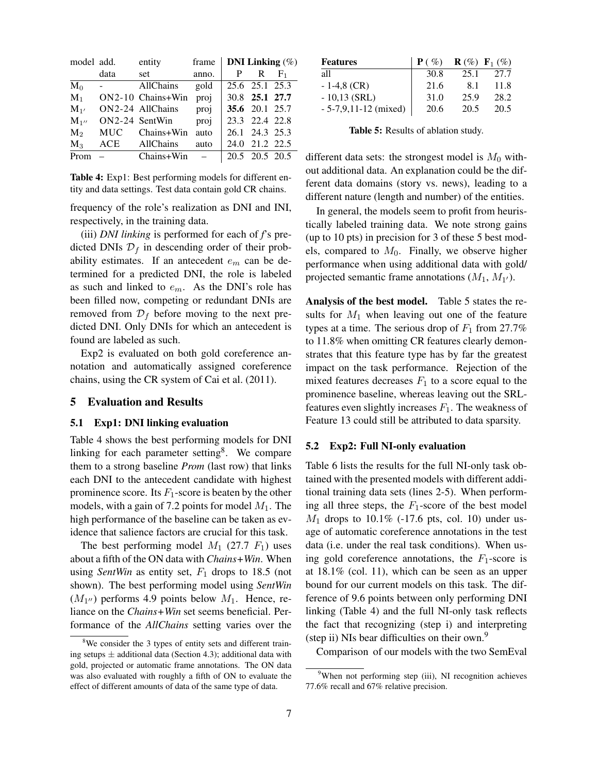| model add.     |                          | entity            | frame | <b>DNI</b> Linking $(\%)$ |                |       |
|----------------|--------------------------|-------------------|-------|---------------------------|----------------|-------|
|                | data                     | set               | anno. |                           | P R            | $F_1$ |
| $M_0$          | $\omega_{\rm{max}}$      | AllChains         | gold  |                           | 25.6 25.1 25.3 |       |
| $M_1$          |                          | ON2-10 Chains+Win | proj  |                           | 30.8 25.1 27.7 |       |
| $M_{1'}$       |                          | ON2-24 AllChains  | proj  |                           | 35.6 20.1 25.7 |       |
| $M_{1}$        |                          | $ON2-24$ SentWin  | proj  |                           | 23.3 22.4 22.8 |       |
| M <sub>2</sub> | MUC                      | Chains+Win        | auto  |                           | 26.1 24.3 25.3 |       |
| $M_3$          | ACE                      | AllChains         | auto  |                           | 24.0 21.2 22.5 |       |
| Prom           | $\overline{\phantom{0}}$ | $Chains+Win$ –    |       |                           | 20.5 20.5 20.5 |       |

Table 4: Exp1: Best performing models for different entity and data settings. Test data contain gold CR chains.

frequency of the role's realization as DNI and INI, respectively, in the training data.

(iii) *DNI linking* is performed for each of *f*'s predicted DNIs  $\mathcal{D}_f$  in descending order of their probability estimates. If an antecedent  $e_m$  can be determined for a predicted DNI, the role is labeled as such and linked to  $e_m$ . As the DNI's role has been filled now, competing or redundant DNIs are removed from  $\mathcal{D}_f$  before moving to the next predicted DNI. Only DNIs for which an antecedent is found are labeled as such.

Exp2 is evaluated on both gold coreference annotation and automatically assigned coreference chains, using the CR system of Cai et al. (2011).

# 5 Evaluation and Results

#### 5.1 Exp1: DNI linking evaluation

Table 4 shows the best performing models for DNI linking for each parameter setting<sup>8</sup>. We compare them to a strong baseline *Prom* (last row) that links each DNI to the antecedent candidate with highest prominence score. Its  $F_1$ -score is beaten by the other models, with a gain of 7.2 points for model  $M_1$ . The high performance of the baseline can be taken as evidence that salience factors are crucial for this task.

The best performing model  $M_1$  (27.7  $F_1$ ) uses about a fifth of the ON data with *Chains+Win*. When using *SentWin* as entity set,  $F_1$  drops to 18.5 (not shown). The best performing model using *SentWin*  $(M_{1''})$  performs 4.9 points below  $M_1$ . Hence, reliance on the *Chains+Win* set seems beneficial. Performance of the *AllChains* setting varies over the

| <b>Features</b>        | $\mathbf{P}(\mathcal{C})$ |      | <b>R</b> $(\%)$ <b>F</b> <sub>1</sub> $(\%)$ |
|------------------------|---------------------------|------|----------------------------------------------|
| all                    | 30.8                      | 25.1 | 27.7                                         |
| $-1-4,8$ (CR)          | 21.6                      | 8.1  | 11.8                                         |
| $-10,13$ (SRL)         | 31.0                      | 25.9 | 28.2                                         |
| $-5-7,9,11-12$ (mixed) | 20.6                      | 20.5 | 20.5                                         |

Table 5: Results of ablation study.

different data sets: the strongest model is  $M_0$  without additional data. An explanation could be the different data domains (story vs. news), leading to a different nature (length and number) of the entities.

In general, the models seem to profit from heuristically labeled training data. We note strong gains (up to 10 pts) in precision for 3 of these 5 best models, compared to  $M_0$ . Finally, we observe higher performance when using additional data with gold/ projected semantic frame annotations  $(M_1, M_{1'})$ .

Analysis of the best model. Table 5 states the results for  $M_1$  when leaving out one of the feature types at a time. The serious drop of  $F_1$  from 27.7% to 11.8% when omitting CR features clearly demonstrates that this feature type has by far the greatest impact on the task performance. Rejection of the mixed features decreases  $F_1$  to a score equal to the prominence baseline, whereas leaving out the SRLfeatures even slightly increases  $F_1$ . The weakness of Feature 13 could still be attributed to data sparsity.

#### 5.2 Exp2: Full NI-only evaluation

Table 6 lists the results for the full NI-only task obtained with the presented models with different additional training data sets (lines 2-5). When performing all three steps, the  $F_1$ -score of the best model  $M_1$  drops to 10.1% (-17.6 pts, col. 10) under usage of automatic coreference annotations in the test data (i.e. under the real task conditions). When using gold coreference annotations, the  $F_1$ -score is at 18.1% (col. 11), which can be seen as an upper bound for our current models on this task. The difference of 9.6 points between only performing DNI linking (Table 4) and the full NI-only task reflects the fact that recognizing (step i) and interpreting (step ii) NIs bear difficulties on their own.<sup>9</sup>

Comparison of our models with the two SemEval

<sup>&</sup>lt;sup>8</sup>We consider the 3 types of entity sets and different training setups  $\pm$  additional data (Section 4.3); additional data with gold, projected or automatic frame annotations. The ON data was also evaluated with roughly a fifth of ON to evaluate the effect of different amounts of data of the same type of data.

<sup>&</sup>lt;sup>9</sup>When not performing step (iii), NI recognition achieves 77.6% recall and 67% relative precision.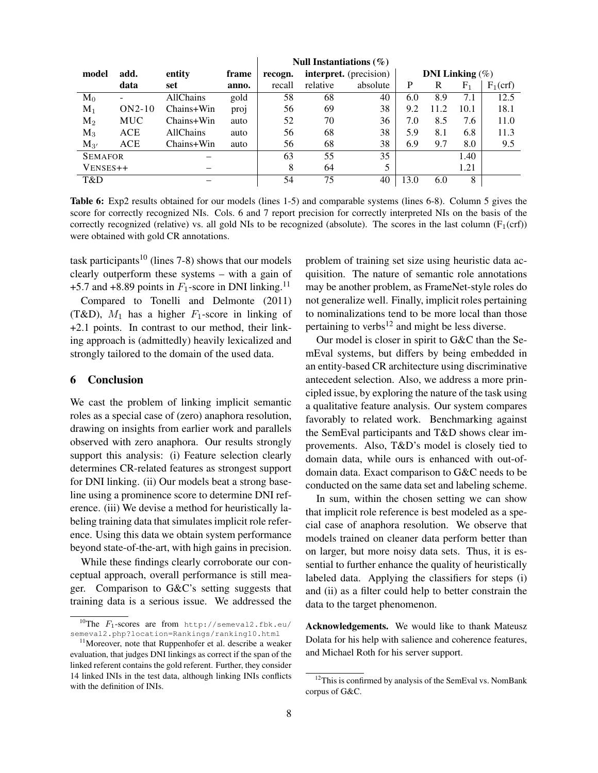|                |            |                  |       | Null Instantiations $(\% )$ |                               |          |                           |      |       |            |
|----------------|------------|------------------|-------|-----------------------------|-------------------------------|----------|---------------------------|------|-------|------------|
| model          | add.       | entity           | frame | recogn.                     | <b>interpret.</b> (precision) |          | <b>DNI</b> Linking $(\%)$ |      |       |            |
|                | data       | set              | anno. | recall                      | relative                      | absolute | P                         | R    | $F_1$ | $F_1(crf)$ |
| $M_0$          |            | AllChains        | gold  | 58                          | 68                            | 40       | 6.0                       | 8.9  | 7.1   | 12.5       |
| $M_1$          | $ON2-10$   | Chains+Win       | proj  | 56                          | 69                            | 38       | 9.2                       | 11.2 | 10.1  | 18.1       |
| $M_2$          | <b>MUC</b> | Chains+Win       | auto  | 52                          | 70                            | 36       | 7.0                       | 8.5  | 7.6   | 11.0       |
| $M_3$          | ACE        | <b>AllChains</b> | auto  | 56                          | 68                            | 38       | 5.9                       | 8.1  | 6.8   | 11.3       |
| $M_{3'}$       | <b>ACE</b> | Chains+Win       | auto  | 56                          | 68                            | 38       | 6.9                       | 9.7  | 8.0   | 9.5        |
| <b>SEMAFOR</b> |            |                  |       | 63                          | 55                            | 35       |                           |      | 1.40  |            |
| VENSES++       |            |                  |       | 8                           | 64                            | 5        |                           |      | 1.21  |            |
| T&D            |            |                  |       | 54                          | 75                            | 40       | 13.0                      | 6.0  | 8     |            |

Table 6: Exp2 results obtained for our models (lines 1-5) and comparable systems (lines 6-8). Column 5 gives the score for correctly recognized NIs. Cols. 6 and 7 report precision for correctly interpreted NIs on the basis of the correctly recognized (relative) vs. all gold NIs to be recognized (absolute). The scores in the last column  $(F_1(crf))$ were obtained with gold CR annotations.

task participants<sup>10</sup> (lines 7-8) shows that our models clearly outperform these systems – with a gain of +5.7 and +8.89 points in  $F_1$ -score in DNI linking.<sup>11</sup>

Compared to Tonelli and Delmonte (2011) (T&D),  $M_1$  has a higher  $F_1$ -score in linking of +2.1 points. In contrast to our method, their linking approach is (admittedly) heavily lexicalized and strongly tailored to the domain of the used data.

#### 6 Conclusion

We cast the problem of linking implicit semantic roles as a special case of (zero) anaphora resolution, drawing on insights from earlier work and parallels observed with zero anaphora. Our results strongly support this analysis: (i) Feature selection clearly determines CR-related features as strongest support for DNI linking. (ii) Our models beat a strong baseline using a prominence score to determine DNI reference. (iii) We devise a method for heuristically labeling training data that simulates implicit role reference. Using this data we obtain system performance beyond state-of-the-art, with high gains in precision.

While these findings clearly corroborate our conceptual approach, overall performance is still meager. Comparison to G&C's setting suggests that training data is a serious issue. We addressed the problem of training set size using heuristic data acquisition. The nature of semantic role annotations may be another problem, as FrameNet-style roles do not generalize well. Finally, implicit roles pertaining to nominalizations tend to be more local than those pertaining to verbs $^{12}$  and might be less diverse.

Our model is closer in spirit to G&C than the SemEval systems, but differs by being embedded in an entity-based CR architecture using discriminative antecedent selection. Also, we address a more principled issue, by exploring the nature of the task using a qualitative feature analysis. Our system compares favorably to related work. Benchmarking against the SemEval participants and T&D shows clear improvements. Also, T&D's model is closely tied to domain data, while ours is enhanced with out-ofdomain data. Exact comparison to G&C needs to be conducted on the same data set and labeling scheme.

In sum, within the chosen setting we can show that implicit role reference is best modeled as a special case of anaphora resolution. We observe that models trained on cleaner data perform better than on larger, but more noisy data sets. Thus, it is essential to further enhance the quality of heuristically labeled data. Applying the classifiers for steps (i) and (ii) as a filter could help to better constrain the data to the target phenomenon.

Acknowledgements. We would like to thank Mateusz Dolata for his help with salience and coherence features, and Michael Roth for his server support.

<sup>&</sup>lt;sup>10</sup>The  $F_1$ -scores are from http://semeval2.fbk.eu/ semeval2.php?location=Rankings/ranking10.html

<sup>&</sup>lt;sup>11</sup>Moreover, note that Ruppenhofer et al. describe a weaker evaluation, that judges DNI linkings as correct if the span of the linked referent contains the gold referent. Further, they consider 14 linked INIs in the test data, although linking INIs conflicts with the definition of INIs.

<sup>&</sup>lt;sup>12</sup>This is confirmed by analysis of the SemEval vs. NomBank corpus of G&C.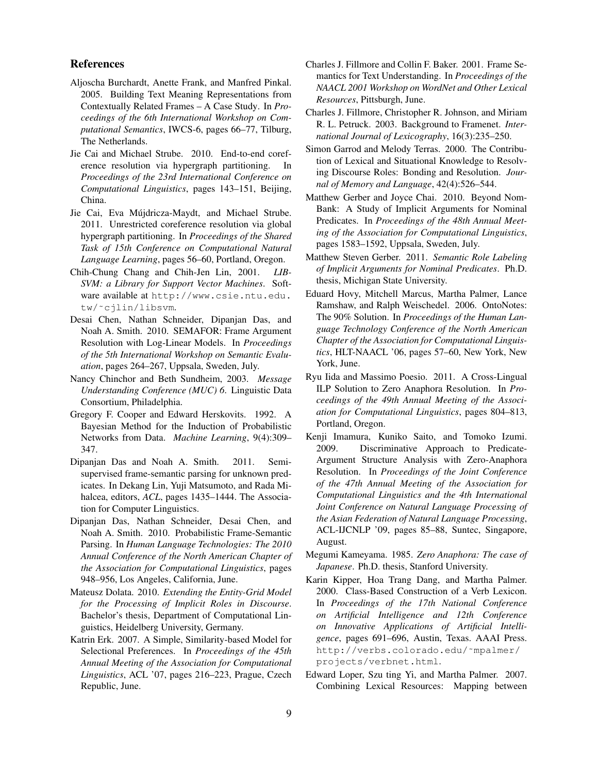#### References

- Aljoscha Burchardt, Anette Frank, and Manfred Pinkal. 2005. Building Text Meaning Representations from Contextually Related Frames – A Case Study. In *Proceedings of the 6th International Workshop on Computational Semantics*, IWCS-6, pages 66–77, Tilburg, The Netherlands.
- Jie Cai and Michael Strube. 2010. End-to-end coreference resolution via hypergraph partitioning. In *Proceedings of the 23rd International Conference on Computational Linguistics*, pages 143–151, Beijing, China.
- Jie Cai, Eva Mújdricza-Maydt, and Michael Strube. 2011. Unrestricted coreference resolution via global hypergraph partitioning. In *Proceedings of the Shared Task of 15th Conference on Computational Natural Language Learning*, pages 56–60, Portland, Oregon.
- Chih-Chung Chang and Chih-Jen Lin, 2001. *LIB-SVM: a Library for Support Vector Machines*. Software available at http://www.csie.ntu.edu. tw/˜cjlin/libsvm.
- Desai Chen, Nathan Schneider, Dipanjan Das, and Noah A. Smith. 2010. SEMAFOR: Frame Argument Resolution with Log-Linear Models. In *Proceedings of the 5th International Workshop on Semantic Evaluation*, pages 264–267, Uppsala, Sweden, July.
- Nancy Chinchor and Beth Sundheim, 2003. *Message Understanding Conference (MUC) 6*. Linguistic Data Consortium, Philadelphia.
- Gregory F. Cooper and Edward Herskovits. 1992. A Bayesian Method for the Induction of Probabilistic Networks from Data. *Machine Learning*, 9(4):309– 347.
- Dipanjan Das and Noah A. Smith. 2011. Semisupervised frame-semantic parsing for unknown predicates. In Dekang Lin, Yuji Matsumoto, and Rada Mihalcea, editors, *ACL*, pages 1435–1444. The Association for Computer Linguistics.
- Dipanjan Das, Nathan Schneider, Desai Chen, and Noah A. Smith. 2010. Probabilistic Frame-Semantic Parsing. In *Human Language Technologies: The 2010 Annual Conference of the North American Chapter of the Association for Computational Linguistics*, pages 948–956, Los Angeles, California, June.
- Mateusz Dolata. 2010. *Extending the Entity-Grid Model for the Processing of Implicit Roles in Discourse*. Bachelor's thesis, Department of Computational Linguistics, Heidelberg University, Germany.
- Katrin Erk. 2007. A Simple, Similarity-based Model for Selectional Preferences. In *Proceedings of the 45th Annual Meeting of the Association for Computational Linguistics*, ACL '07, pages 216–223, Prague, Czech Republic, June.
- Charles J. Fillmore and Collin F. Baker. 2001. Frame Semantics for Text Understanding. In *Proceedings of the NAACL 2001 Workshop on WordNet and Other Lexical Resources*, Pittsburgh, June.
- Charles J. Fillmore, Christopher R. Johnson, and Miriam R. L. Petruck. 2003. Background to Framenet. *International Journal of Lexicography*, 16(3):235–250.
- Simon Garrod and Melody Terras. 2000. The Contribution of Lexical and Situational Knowledge to Resolving Discourse Roles: Bonding and Resolution. *Journal of Memory and Language*, 42(4):526–544.
- Matthew Gerber and Joyce Chai. 2010. Beyond Nom-Bank: A Study of Implicit Arguments for Nominal Predicates. In *Proceedings of the 48th Annual Meeting of the Association for Computational Linguistics*, pages 1583–1592, Uppsala, Sweden, July.
- Matthew Steven Gerber. 2011. *Semantic Role Labeling of Implicit Arguments for Nominal Predicates*. Ph.D. thesis, Michigan State University.
- Eduard Hovy, Mitchell Marcus, Martha Palmer, Lance Ramshaw, and Ralph Weischedel. 2006. OntoNotes: The 90% Solution. In *Proceedings of the Human Language Technology Conference of the North American Chapter of the Association for Computational Linguistics*, HLT-NAACL '06, pages 57–60, New York, New York, June.
- Ryu Iida and Massimo Poesio. 2011. A Cross-Lingual ILP Solution to Zero Anaphora Resolution. In *Proceedings of the 49th Annual Meeting of the Association for Computational Linguistics*, pages 804–813, Portland, Oregon.
- Kenji Imamura, Kuniko Saito, and Tomoko Izumi. 2009. Discriminative Approach to Predicate-Argument Structure Analysis with Zero-Anaphora Resolution. In *Proceedings of the Joint Conference of the 47th Annual Meeting of the Association for Computational Linguistics and the 4th International Joint Conference on Natural Language Processing of the Asian Federation of Natural Language Processing*, ACL-IJCNLP '09, pages 85–88, Suntec, Singapore, August.
- Megumi Kameyama. 1985. *Zero Anaphora: The case of Japanese*. Ph.D. thesis, Stanford University.
- Karin Kipper, Hoa Trang Dang, and Martha Palmer. 2000. Class-Based Construction of a Verb Lexicon. In *Proceedings of the 17th National Conference on Artificial Intelligence and 12th Conference on Innovative Applications of Artificial Intelligence*, pages 691–696, Austin, Texas. AAAI Press. http://verbs.colorado.edu/˜mpalmer/ projects/verbnet.html.
- Edward Loper, Szu ting Yi, and Martha Palmer. 2007. Combining Lexical Resources: Mapping between